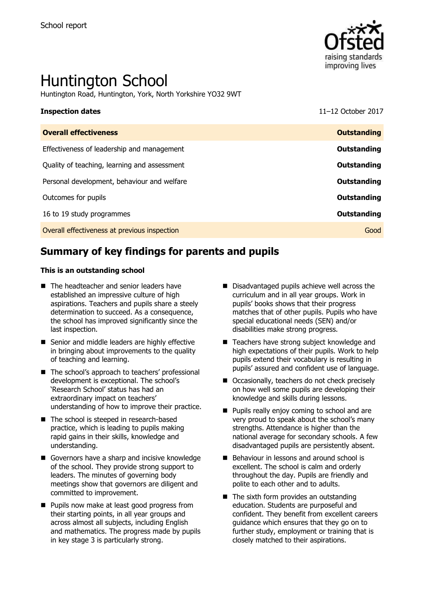

# Huntington School

Huntington Road, Huntington, York, North Yorkshire YO32 9WT

## **Inspection dates** 11–12 October 2017

| <b>Overall effectiveness</b>                 | <b>Outstanding</b> |
|----------------------------------------------|--------------------|
| Effectiveness of leadership and management   | Outstanding        |
| Quality of teaching, learning and assessment | Outstanding        |
| Personal development, behaviour and welfare  | <b>Outstanding</b> |
| Outcomes for pupils                          | Outstanding        |
| 16 to 19 study programmes                    | Outstanding        |
| Overall effectiveness at previous inspection | Good               |
|                                              |                    |

# **Summary of key findings for parents and pupils**

#### **This is an outstanding school**

- The headteacher and senior leaders have established an impressive culture of high aspirations. Teachers and pupils share a steely determination to succeed. As a consequence, the school has improved significantly since the last inspection.
- Senior and middle leaders are highly effective in bringing about improvements to the quality of teaching and learning.
- The school's approach to teachers' professional development is exceptional. The school's 'Research School' status has had an extraordinary impact on teachers' understanding of how to improve their practice.
- The school is steeped in research-based practice, which is leading to pupils making rapid gains in their skills, knowledge and understanding.
- Governors have a sharp and incisive knowledge of the school. They provide strong support to leaders. The minutes of governing body meetings show that governors are diligent and committed to improvement.
- **Pupils now make at least good progress from** their starting points, in all year groups and across almost all subjects, including English and mathematics. The progress made by pupils in key stage 3 is particularly strong.
- Disadvantaged pupils achieve well across the curriculum and in all year groups. Work in pupils' books shows that their progress matches that of other pupils. Pupils who have special educational needs (SEN) and/or disabilities make strong progress.
- Teachers have strong subject knowledge and high expectations of their pupils. Work to help pupils extend their vocabulary is resulting in pupils' assured and confident use of language.
- Occasionally, teachers do not check precisely on how well some pupils are developing their knowledge and skills during lessons.
- **Pupils really enjoy coming to school and are** very proud to speak about the school's many strengths. Attendance is higher than the national average for secondary schools. A few disadvantaged pupils are persistently absent.
- Behaviour in lessons and around school is excellent. The school is calm and orderly throughout the day. Pupils are friendly and polite to each other and to adults.
- The sixth form provides an outstanding education. Students are purposeful and confident. They benefit from excellent careers guidance which ensures that they go on to further study, employment or training that is closely matched to their aspirations.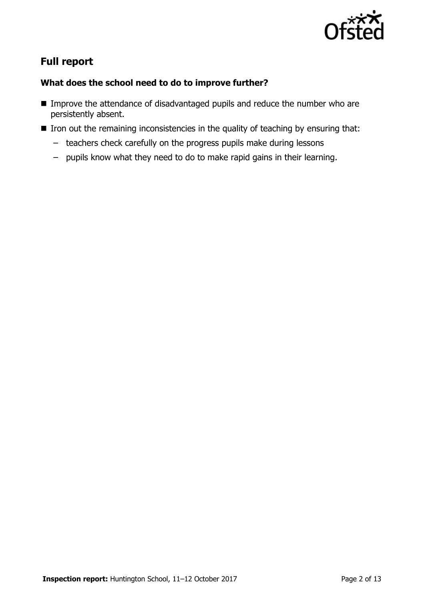

# **Full report**

### **What does the school need to do to improve further?**

- **IMPROVE THE ATTENDANCE OF DISADVANTAGED PUPILS AND FIGURE 2013** Improve the attendance of disadvantaged pupils and reduce the number who are persistently absent.
- If Iron out the remaining inconsistencies in the quality of teaching by ensuring that:
	- teachers check carefully on the progress pupils make during lessons
	- pupils know what they need to do to make rapid gains in their learning.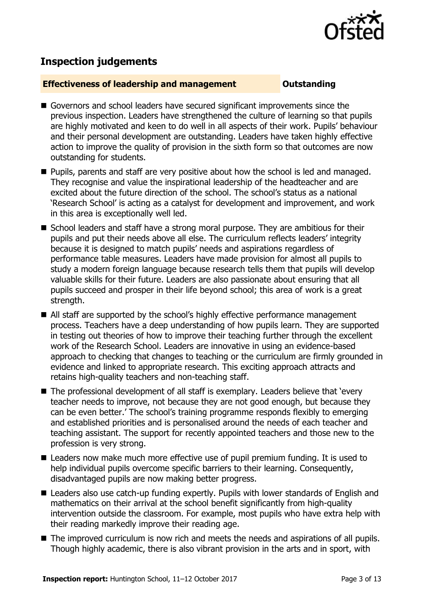

# **Inspection judgements**

#### **Effectiveness of leadership and management COULDER COULDER OUTSTANDING**

- Governors and school leaders have secured significant improvements since the previous inspection. Leaders have strengthened the culture of learning so that pupils are highly motivated and keen to do well in all aspects of their work. Pupils' behaviour and their personal development are outstanding. Leaders have taken highly effective action to improve the quality of provision in the sixth form so that outcomes are now outstanding for students.
- **Pupils, parents and staff are very positive about how the school is led and managed.** They recognise and value the inspirational leadership of the headteacher and are excited about the future direction of the school. The school's status as a national 'Research School' is acting as a catalyst for development and improvement, and work in this area is exceptionally well led.
- School leaders and staff have a strong moral purpose. They are ambitious for their pupils and put their needs above all else. The curriculum reflects leaders' integrity because it is designed to match pupils' needs and aspirations regardless of performance table measures. Leaders have made provision for almost all pupils to study a modern foreign language because research tells them that pupils will develop valuable skills for their future. Leaders are also passionate about ensuring that all pupils succeed and prosper in their life beyond school; this area of work is a great strength.
- All staff are supported by the school's highly effective performance management process. Teachers have a deep understanding of how pupils learn. They are supported in testing out theories of how to improve their teaching further through the excellent work of the Research School. Leaders are innovative in using an evidence-based approach to checking that changes to teaching or the curriculum are firmly grounded in evidence and linked to appropriate research. This exciting approach attracts and retains high-quality teachers and non-teaching staff.
- The professional development of all staff is exemplary. Leaders believe that 'every teacher needs to improve, not because they are not good enough, but because they can be even better.' The school's training programme responds flexibly to emerging and established priorities and is personalised around the needs of each teacher and teaching assistant. The support for recently appointed teachers and those new to the profession is very strong.
- Leaders now make much more effective use of pupil premium funding. It is used to help individual pupils overcome specific barriers to their learning. Consequently, disadvantaged pupils are now making better progress.
- Leaders also use catch-up funding expertly. Pupils with lower standards of English and mathematics on their arrival at the school benefit significantly from high-quality intervention outside the classroom. For example, most pupils who have extra help with their reading markedly improve their reading age.
- The improved curriculum is now rich and meets the needs and aspirations of all pupils. Though highly academic, there is also vibrant provision in the arts and in sport, with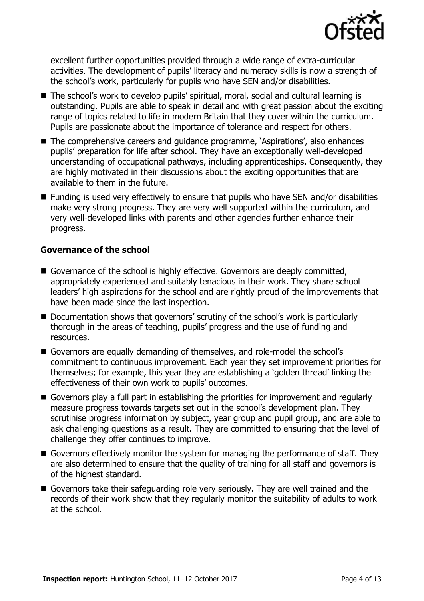

excellent further opportunities provided through a wide range of extra-curricular activities. The development of pupils' literacy and numeracy skills is now a strength of the school's work, particularly for pupils who have SEN and/or disabilities.

- The school's work to develop pupils' spiritual, moral, social and cultural learning is outstanding. Pupils are able to speak in detail and with great passion about the exciting range of topics related to life in modern Britain that they cover within the curriculum. Pupils are passionate about the importance of tolerance and respect for others.
- The comprehensive careers and quidance programme, 'Aspirations', also enhances pupils' preparation for life after school. They have an exceptionally well-developed understanding of occupational pathways, including apprenticeships. Consequently, they are highly motivated in their discussions about the exciting opportunities that are available to them in the future.
- Funding is used very effectively to ensure that pupils who have SEN and/or disabilities make very strong progress. They are very well supported within the curriculum, and very well-developed links with parents and other agencies further enhance their progress.

#### **Governance of the school**

- Governance of the school is highly effective. Governors are deeply committed, appropriately experienced and suitably tenacious in their work. They share school leaders' high aspirations for the school and are rightly proud of the improvements that have been made since the last inspection.
- Documentation shows that governors' scrutiny of the school's work is particularly thorough in the areas of teaching, pupils' progress and the use of funding and resources.
- Governors are equally demanding of themselves, and role-model the school's commitment to continuous improvement. Each year they set improvement priorities for themselves; for example, this year they are establishing a 'golden thread' linking the effectiveness of their own work to pupils' outcomes.
- Governors play a full part in establishing the priorities for improvement and regularly measure progress towards targets set out in the school's development plan. They scrutinise progress information by subject, year group and pupil group, and are able to ask challenging questions as a result. They are committed to ensuring that the level of challenge they offer continues to improve.
- Governors effectively monitor the system for managing the performance of staff. They are also determined to ensure that the quality of training for all staff and governors is of the highest standard.
- Governors take their safeguarding role very seriously. They are well trained and the records of their work show that they regularly monitor the suitability of adults to work at the school.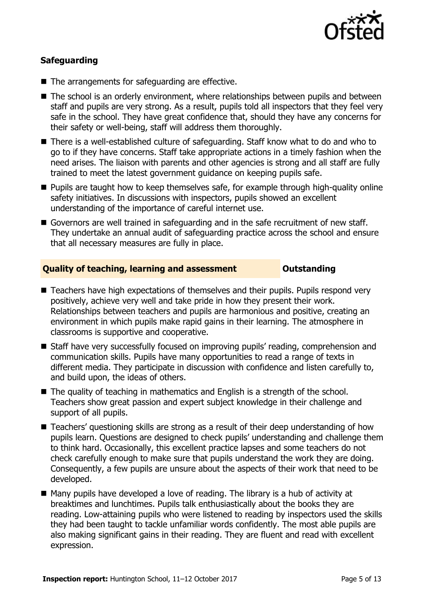

### **Safeguarding**

- The arrangements for safeguarding are effective.
- The school is an orderly environment, where relationships between pupils and between staff and pupils are very strong. As a result, pupils told all inspectors that they feel very safe in the school. They have great confidence that, should they have any concerns for their safety or well-being, staff will address them thoroughly.
- There is a well-established culture of safeguarding. Staff know what to do and who to go to if they have concerns. Staff take appropriate actions in a timely fashion when the need arises. The liaison with parents and other agencies is strong and all staff are fully trained to meet the latest government guidance on keeping pupils safe.
- **Pupils are taught how to keep themselves safe, for example through high-quality online** safety initiatives. In discussions with inspectors, pupils showed an excellent understanding of the importance of careful internet use.
- Governors are well trained in safeguarding and in the safe recruitment of new staff. They undertake an annual audit of safeguarding practice across the school and ensure that all necessary measures are fully in place.

### **Quality of teaching, learning and assessment Outstanding**

- Teachers have high expectations of themselves and their pupils. Pupils respond very positively, achieve very well and take pride in how they present their work. Relationships between teachers and pupils are harmonious and positive, creating an environment in which pupils make rapid gains in their learning. The atmosphere in classrooms is supportive and cooperative.
- Staff have very successfully focused on improving pupils' reading, comprehension and communication skills. Pupils have many opportunities to read a range of texts in different media. They participate in discussion with confidence and listen carefully to, and build upon, the ideas of others.
- The quality of teaching in mathematics and English is a strength of the school. Teachers show great passion and expert subject knowledge in their challenge and support of all pupils.
- Teachers' questioning skills are strong as a result of their deep understanding of how pupils learn. Questions are designed to check pupils' understanding and challenge them to think hard. Occasionally, this excellent practice lapses and some teachers do not check carefully enough to make sure that pupils understand the work they are doing. Consequently, a few pupils are unsure about the aspects of their work that need to be developed.
- $\blacksquare$  Many pupils have developed a love of reading. The library is a hub of activity at breaktimes and lunchtimes. Pupils talk enthusiastically about the books they are reading. Low-attaining pupils who were listened to reading by inspectors used the skills they had been taught to tackle unfamiliar words confidently. The most able pupils are also making significant gains in their reading. They are fluent and read with excellent expression.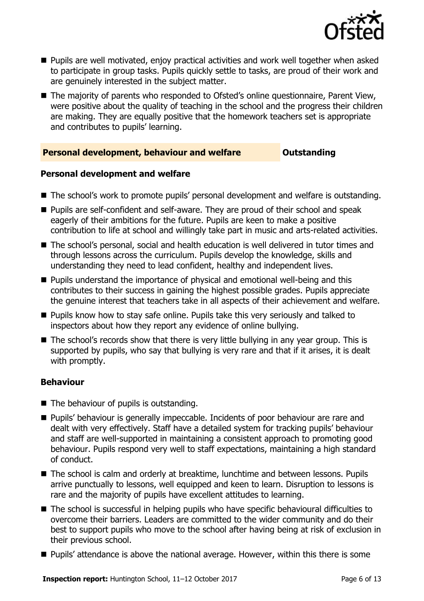

- **Pupils are well motivated, enjoy practical activities and work well together when asked** to participate in group tasks. Pupils quickly settle to tasks, are proud of their work and are genuinely interested in the subject matter.
- The majority of parents who responded to Ofsted's online questionnaire, Parent View, were positive about the quality of teaching in the school and the progress their children are making. They are equally positive that the homework teachers set is appropriate and contributes to pupils' learning.

### **Personal development, behaviour and welfare <b>COUNG COULDER** Outstanding

#### **Personal development and welfare**

- The school's work to promote pupils' personal development and welfare is outstanding.
- **Pupils are self-confident and self-aware. They are proud of their school and speak** eagerly of their ambitions for the future. Pupils are keen to make a positive contribution to life at school and willingly take part in music and arts-related activities.
- The school's personal, social and health education is well delivered in tutor times and through lessons across the curriculum. Pupils develop the knowledge, skills and understanding they need to lead confident, healthy and independent lives.
- **Pupils understand the importance of physical and emotional well-being and this** contributes to their success in gaining the highest possible grades. Pupils appreciate the genuine interest that teachers take in all aspects of their achievement and welfare.
- **Pupils know how to stay safe online. Pupils take this very seriously and talked to** inspectors about how they report any evidence of online bullying.
- The school's records show that there is very little bullying in any year group. This is supported by pupils, who say that bullying is very rare and that if it arises, it is dealt with promptly.

#### **Behaviour**

- $\blacksquare$  The behaviour of pupils is outstanding.
- **Pupils'** behaviour is generally impeccable. Incidents of poor behaviour are rare and dealt with very effectively. Staff have a detailed system for tracking pupils' behaviour and staff are well-supported in maintaining a consistent approach to promoting good behaviour. Pupils respond very well to staff expectations, maintaining a high standard of conduct.
- The school is calm and orderly at breaktime, lunchtime and between lessons. Pupils arrive punctually to lessons, well equipped and keen to learn. Disruption to lessons is rare and the majority of pupils have excellent attitudes to learning.
- The school is successful in helping pupils who have specific behavioural difficulties to overcome their barriers. Leaders are committed to the wider community and do their best to support pupils who move to the school after having being at risk of exclusion in their previous school.
- **Pupils'** attendance is above the national average. However, within this there is some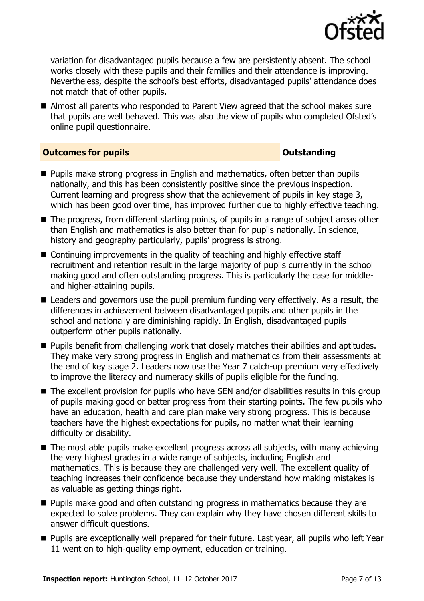

variation for disadvantaged pupils because a few are persistently absent. The school works closely with these pupils and their families and their attendance is improving. Nevertheless, despite the school's best efforts, disadvantaged pupils' attendance does not match that of other pupils.

■ Almost all parents who responded to Parent View agreed that the school makes sure that pupils are well behaved. This was also the view of pupils who completed Ofsted's online pupil questionnaire.

#### **Outcomes for pupils Outstanding**

- **Pupils make strong progress in English and mathematics, often better than pupils** nationally, and this has been consistently positive since the previous inspection. Current learning and progress show that the achievement of pupils in key stage 3, which has been good over time, has improved further due to highly effective teaching.
- The progress, from different starting points, of pupils in a range of subject areas other than English and mathematics is also better than for pupils nationally. In science, history and geography particularly, pupils' progress is strong.
- Continuing improvements in the quality of teaching and highly effective staff recruitment and retention result in the large majority of pupils currently in the school making good and often outstanding progress. This is particularly the case for middleand higher-attaining pupils.
- Leaders and governors use the pupil premium funding very effectively. As a result, the differences in achievement between disadvantaged pupils and other pupils in the school and nationally are diminishing rapidly. In English, disadvantaged pupils outperform other pupils nationally.
- **Pupils benefit from challenging work that closely matches their abilities and aptitudes.** They make very strong progress in English and mathematics from their assessments at the end of key stage 2. Leaders now use the Year 7 catch-up premium very effectively to improve the literacy and numeracy skills of pupils eligible for the funding.
- The excellent provision for pupils who have SEN and/or disabilities results in this group of pupils making good or better progress from their starting points. The few pupils who have an education, health and care plan make very strong progress. This is because teachers have the highest expectations for pupils, no matter what their learning difficulty or disability.
- The most able pupils make excellent progress across all subjects, with many achieving the very highest grades in a wide range of subjects, including English and mathematics. This is because they are challenged very well. The excellent quality of teaching increases their confidence because they understand how making mistakes is as valuable as getting things right.
- **Pupils make good and often outstanding progress in mathematics because they are** expected to solve problems. They can explain why they have chosen different skills to answer difficult questions.
- **Pupils are exceptionally well prepared for their future. Last year, all pupils who left Year** 11 went on to high-quality employment, education or training.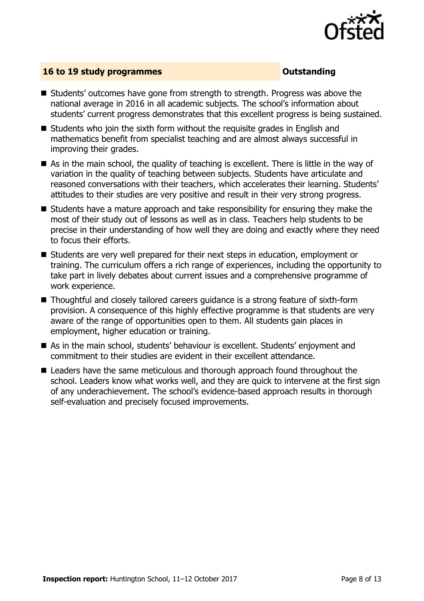

#### **16 to 19 study programmes CONSTANDING CONSTANDING CONSTANDING CONSTANDING CONSTANDING CONSTANDING CONSTANDING CONSTANDING CONSTANDING CONSTANDING CONSTANDING CONSTANDING CONSTANDING CONSTANDING CONSTANDING CONSTANDING C**

- Students' outcomes have gone from strength to strength. Progress was above the national average in 2016 in all academic subjects. The school's information about students' current progress demonstrates that this excellent progress is being sustained.
- Students who join the sixth form without the requisite grades in English and mathematics benefit from specialist teaching and are almost always successful in improving their grades.
- As in the main school, the quality of teaching is excellent. There is little in the way of variation in the quality of teaching between subjects. Students have articulate and reasoned conversations with their teachers, which accelerates their learning. Students' attitudes to their studies are very positive and result in their very strong progress.
- Students have a mature approach and take responsibility for ensuring they make the most of their study out of lessons as well as in class. Teachers help students to be precise in their understanding of how well they are doing and exactly where they need to focus their efforts.
- Students are very well prepared for their next steps in education, employment or training. The curriculum offers a rich range of experiences, including the opportunity to take part in lively debates about current issues and a comprehensive programme of work experience.
- Thoughtful and closely tailored careers guidance is a strong feature of sixth-form provision. A consequence of this highly effective programme is that students are very aware of the range of opportunities open to them. All students gain places in employment, higher education or training.
- As in the main school, students' behaviour is excellent. Students' enjoyment and commitment to their studies are evident in their excellent attendance.
- Leaders have the same meticulous and thorough approach found throughout the school. Leaders know what works well, and they are quick to intervene at the first sign of any underachievement. The school's evidence-based approach results in thorough self-evaluation and precisely focused improvements.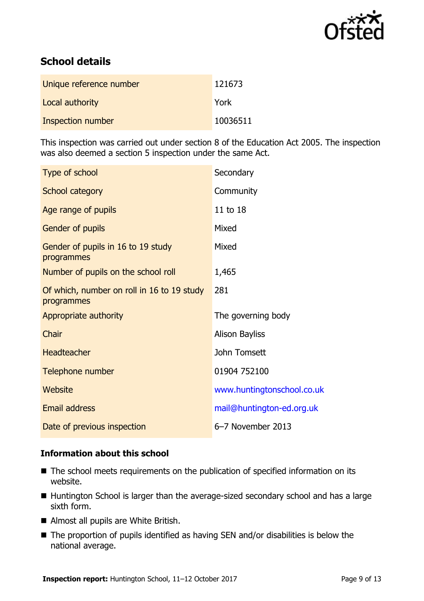

# **School details**

| Unique reference number | 121673   |
|-------------------------|----------|
| Local authority         | York     |
| Inspection number       | 10036511 |

This inspection was carried out under section 8 of the Education Act 2005. The inspection was also deemed a section 5 inspection under the same Act.

| Type of school                                           | Secondary                  |
|----------------------------------------------------------|----------------------------|
| School category                                          | Community                  |
| Age range of pupils                                      | 11 to 18                   |
| Gender of pupils                                         | Mixed                      |
| Gender of pupils in 16 to 19 study<br>programmes         | Mixed                      |
| Number of pupils on the school roll                      | 1,465                      |
| Of which, number on roll in 16 to 19 study<br>programmes | 281                        |
| Appropriate authority                                    | The governing body         |
| Chair                                                    | <b>Alison Bayliss</b>      |
| <b>Headteacher</b>                                       | John Tomsett               |
| Telephone number                                         | 01904 752100               |
| Website                                                  | www.huntingtonschool.co.uk |
| <b>Email address</b>                                     | mail@huntington-ed.org.uk  |
| Date of previous inspection                              | 6-7 November 2013          |

### **Information about this school**

- The school meets requirements on the publication of specified information on its website.
- Huntington School is larger than the average-sized secondary school and has a large sixth form.
- Almost all pupils are White British.
- The proportion of pupils identified as having SEN and/or disabilities is below the national average.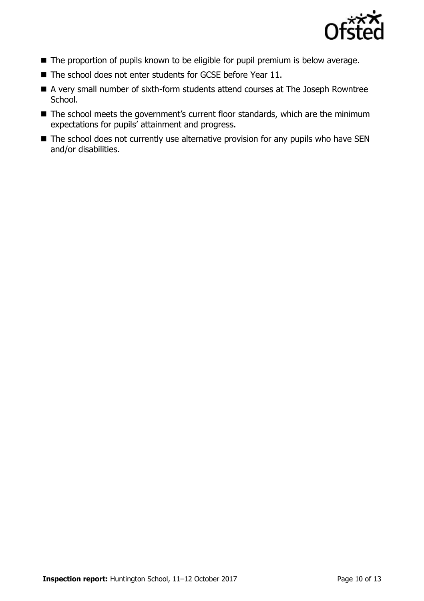

- The proportion of pupils known to be eligible for pupil premium is below average.
- The school does not enter students for GCSE before Year 11.
- A very small number of sixth-form students attend courses at The Joseph Rowntree School.
- The school meets the government's current floor standards, which are the minimum expectations for pupils' attainment and progress.
- The school does not currently use alternative provision for any pupils who have SEN and/or disabilities.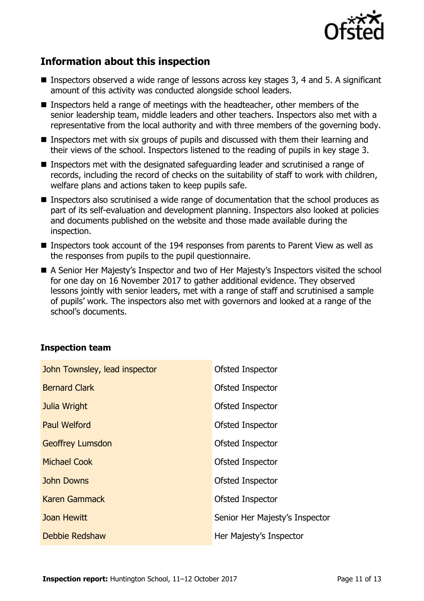

# **Information about this inspection**

- **Inspectors observed a wide range of lessons across key stages 3, 4 and 5. A significant** amount of this activity was conducted alongside school leaders.
- **Inspectors held a range of meetings with the headteacher, other members of the** senior leadership team, middle leaders and other teachers. Inspectors also met with a representative from the local authority and with three members of the governing body.
- Inspectors met with six groups of pupils and discussed with them their learning and their views of the school. Inspectors listened to the reading of pupils in key stage 3.
- **Inspectors met with the designated safeguarding leader and scrutinised a range of** records, including the record of checks on the suitability of staff to work with children, welfare plans and actions taken to keep pupils safe.
- Inspectors also scrutinised a wide range of documentation that the school produces as part of its self-evaluation and development planning. Inspectors also looked at policies and documents published on the website and those made available during the inspection.
- Inspectors took account of the 194 responses from parents to Parent View as well as the responses from pupils to the pupil questionnaire.
- A Senior Her Majesty's Inspector and two of Her Majesty's Inspectors visited the school for one day on 16 November 2017 to gather additional evidence. They observed lessons jointly with senior leaders, met with a range of staff and scrutinised a sample of pupils' work. The inspectors also met with governors and looked at a range of the school's documents.

#### **Inspection team**

| John Townsley, lead inspector | Ofsted Inspector               |
|-------------------------------|--------------------------------|
| <b>Bernard Clark</b>          | Ofsted Inspector               |
| Julia Wright                  | Ofsted Inspector               |
| <b>Paul Welford</b>           | Ofsted Inspector               |
| <b>Geoffrey Lumsdon</b>       | Ofsted Inspector               |
| <b>Michael Cook</b>           | Ofsted Inspector               |
| <b>John Downs</b>             | Ofsted Inspector               |
| <b>Karen Gammack</b>          | Ofsted Inspector               |
| Joan Hewitt                   | Senior Her Majesty's Inspector |
| Debbie Redshaw                | Her Majesty's Inspector        |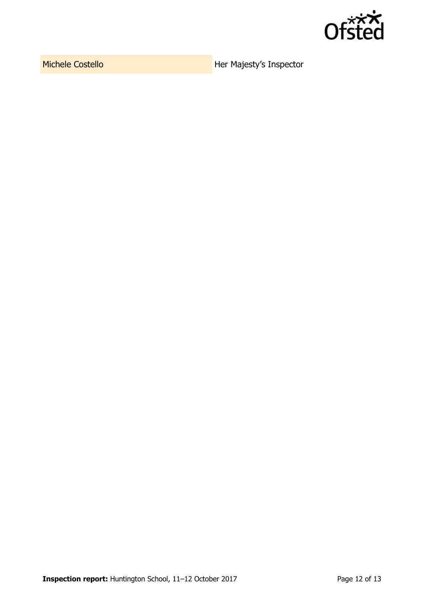

Michele Costello **Her Majesty's Inspector**